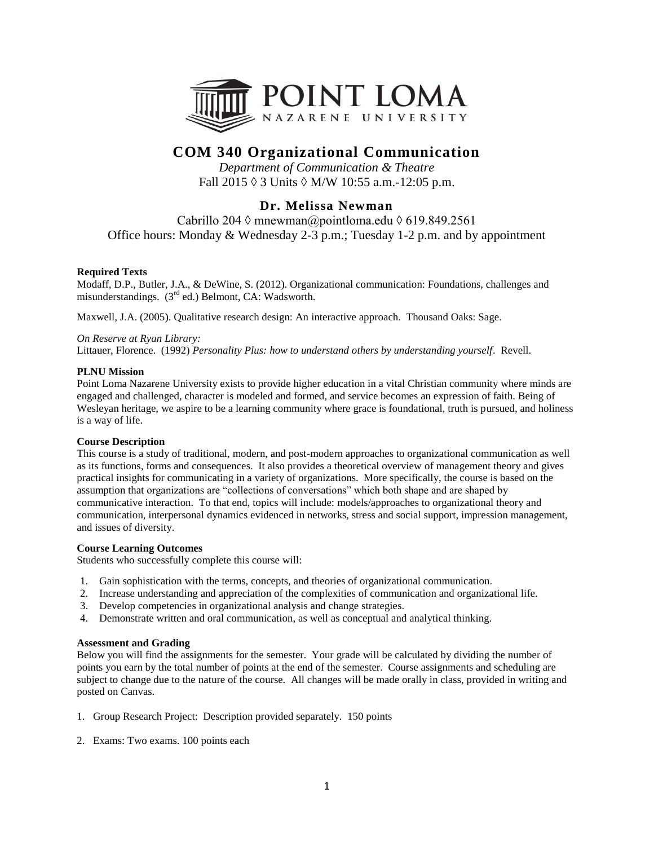

# **COM 340 Organizational Communication**

*Department of Communication & Theatre* Fall  $2015 \lozenge 3$  Units  $\lozenge$  M/W 10:55 a.m.-12:05 p.m.

## **Dr. Melissa Newman**

Cabrillo 204  $\Diamond$  mnewman@pointloma.edu  $\Diamond$  619.849.2561 Office hours: Monday & Wednesday 2-3 p.m.; Tuesday 1-2 p.m. and by appointment

## **Required Texts**

Modaff, D.P., Butler, J.A., & DeWine, S. (2012). Organizational communication: Foundations, challenges and misunderstandings. (3<sup>rd</sup> ed.) Belmont, CA: Wadsworth.

Maxwell, J.A. (2005). Qualitative research design: An interactive approach. Thousand Oaks: Sage.

## *On Reserve at Ryan Library:*

Littauer, Florence. (1992) *Personality Plus: how to understand others by understanding yourself*. Revell.

### **PLNU Mission**

Point Loma Nazarene University exists to provide higher education in a vital Christian community where minds are engaged and challenged, character is modeled and formed, and service becomes an expression of faith. Being of Wesleyan heritage, we aspire to be a learning community where grace is foundational, truth is pursued, and holiness is a way of life.

## **Course Description**

This course is a study of traditional, modern, and post-modern approaches to organizational communication as well as its functions, forms and consequences. It also provides a theoretical overview of management theory and gives practical insights for communicating in a variety of organizations. More specifically, the course is based on the assumption that organizations are "collections of conversations" which both shape and are shaped by communicative interaction. To that end, topics will include: models/approaches to organizational theory and communication, interpersonal dynamics evidenced in networks, stress and social support, impression management, and issues of diversity.

#### **Course Learning Outcomes**

Students who successfully complete this course will:

- 1. Gain sophistication with the terms, concepts, and theories of organizational communication.
- 2. Increase understanding and appreciation of the complexities of communication and organizational life.
- 3. Develop competencies in organizational analysis and change strategies.
- 4. Demonstrate written and oral communication, as well as conceptual and analytical thinking.

#### **Assessment and Grading**

Below you will find the assignments for the semester. Your grade will be calculated by dividing the number of points you earn by the total number of points at the end of the semester. Course assignments and scheduling are subject to change due to the nature of the course. All changes will be made orally in class, provided in writing and posted on Canvas.

- 1. Group Research Project: Description provided separately. 150 points
- 2.Exams: Two exams. 100 points each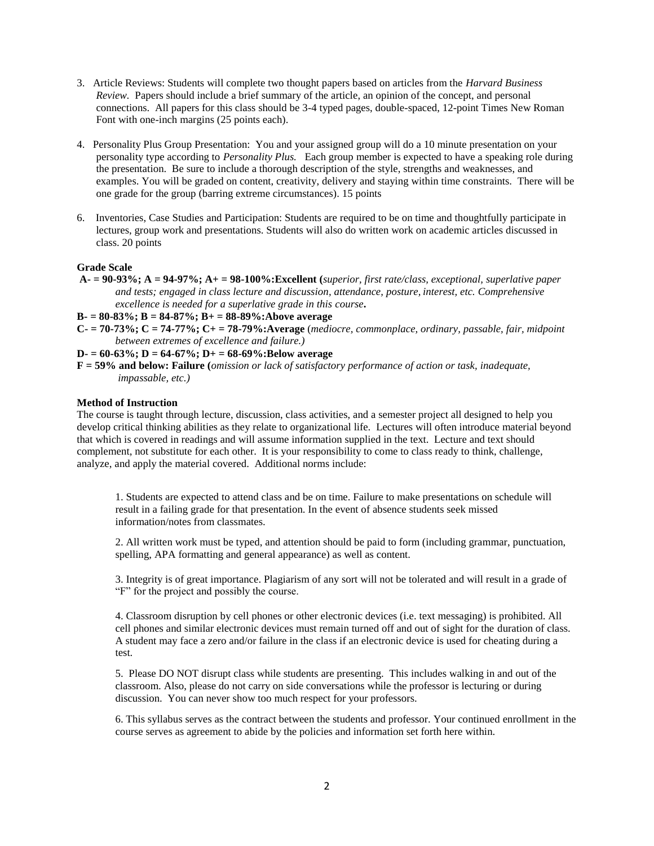- 3.Article Reviews: Students will complete two thought papers based on articles from the *Harvard Business Review.* Papers should include a brief summary of the article, an opinion of the concept, and personal connections. All papers for this class should be 3-4 typed pages, double-spaced, 12-point Times New Roman Font with one-inch margins (25 points each).
- 4.Personality Plus Group Presentation: You and your assigned group will do a 10 minute presentation on your personality type according to *Personality Plus.* Each group member is expected to have a speaking role during the presentation. Be sure to include a thorough description of the style, strengths and weaknesses, and examples. You will be graded on content, creativity, delivery and staying within time constraints. There will be one grade for the group (barring extreme circumstances). 15 points
- 6.Inventories, Case Studies and Participation: Students are required to be on time and thoughtfully participate in lectures, group work and presentations. Students will also do written work on academic articles discussed in class. 20 points

#### **Grade Scale**

- **A- = 90-93%; A = 94-97%; A+ = 98-100%:Excellent (***superior, first rate/class, exceptional, superlative paper and tests; engaged in class lecture and discussion, attendance, posture, interest, etc. Comprehensive excellence is needed for a superlative grade in this course***.**
- **B- = 80-83%; B = 84-87%; B+ = 88-89%:Above average**
- **C- = 70-73%; C = 74-77%; C+ = 78-79%:Average** (*mediocre, commonplace, ordinary, passable, fair, midpoint between extremes of excellence and failure.)*

### **D- = 60-63%; D = 64-67%; D+ = 68-69%:Below average**

**F = 59% and below: Failure (***omission or lack of satisfactory performance of action or task, inadequate, impassable, etc.)*

#### **Method of Instruction**

The course is taught through lecture, discussion, class activities, and a semester project all designed to help you develop critical thinking abilities as they relate to organizational life. Lectures will often introduce material beyond that which is covered in readings and will assume information supplied in the text. Lecture and text should complement, not substitute for each other. It is your responsibility to come to class ready to think, challenge, analyze, and apply the material covered. Additional norms include:

1. Students are expected to attend class and be on time. Failure to make presentations on schedule will result in a failing grade for that presentation. In the event of absence students seek missed information/notes from classmates.

2. All written work must be typed, and attention should be paid to form (including grammar, punctuation, spelling, APA formatting and general appearance) as well as content.

3. Integrity is of great importance. Plagiarism of any sort will not be tolerated and will result in a grade of "F" for the project and possibly the course.

4. Classroom disruption by cell phones or other electronic devices (i.e. text messaging) is prohibited. All cell phones and similar electronic devices must remain turned off and out of sight for the duration of class. A student may face a zero and/or failure in the class if an electronic device is used for cheating during a test.

5. Please DO NOT disrupt class while students are presenting. This includes walking in and out of the classroom. Also, please do not carry on side conversations while the professor is lecturing or during discussion. You can never show too much respect for your professors.

6. This syllabus serves as the contract between the students and professor. Your continued enrollment in the course serves as agreement to abide by the policies and information set forth here within.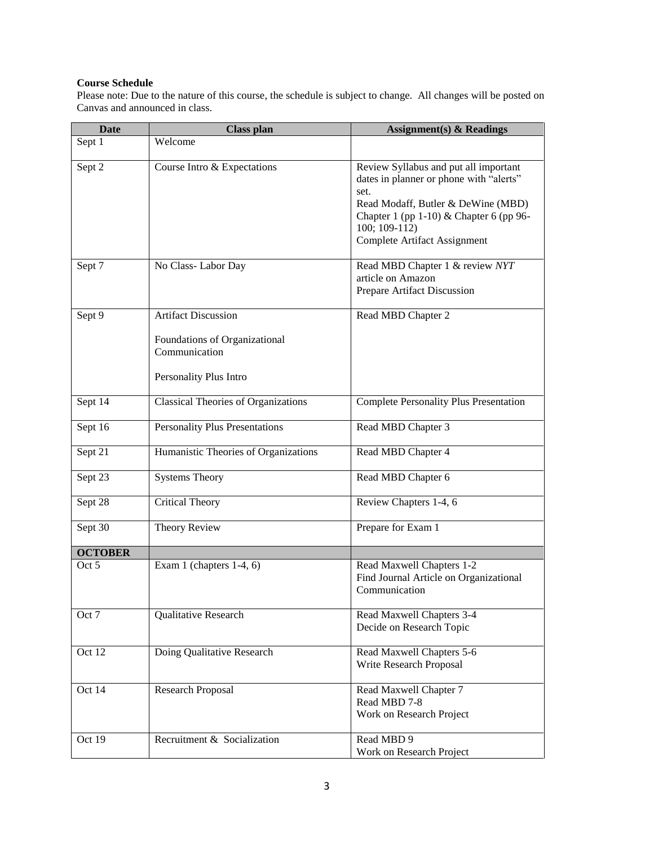## **Course Schedule**

Please note: Due to the nature of this course, the schedule is subject to change. All changes will be posted on Canvas and announced in class.

| <b>Date</b>    | <b>Class plan</b>                                                        | Assignment(s) $& Readings$                                                                                                                                                                                                  |
|----------------|--------------------------------------------------------------------------|-----------------------------------------------------------------------------------------------------------------------------------------------------------------------------------------------------------------------------|
| Sept 1         | Welcome                                                                  |                                                                                                                                                                                                                             |
| Sept 2         | Course Intro & Expectations                                              | Review Syllabus and put all important<br>dates in planner or phone with "alerts"<br>set.<br>Read Modaff, Butler & DeWine (MBD)<br>Chapter 1 (pp 1-10) & Chapter 6 (pp 96-<br>$100; 109-112$<br>Complete Artifact Assignment |
| Sept 7         | No Class-Labor Day                                                       | Read MBD Chapter 1 & review NYT<br>article on Amazon<br>Prepare Artifact Discussion                                                                                                                                         |
| Sept 9         | <b>Artifact Discussion</b>                                               | Read MBD Chapter 2                                                                                                                                                                                                          |
|                | Foundations of Organizational<br>Communication<br>Personality Plus Intro |                                                                                                                                                                                                                             |
|                |                                                                          |                                                                                                                                                                                                                             |
| Sept 14        | <b>Classical Theories of Organizations</b>                               | <b>Complete Personality Plus Presentation</b>                                                                                                                                                                               |
| Sept 16        | <b>Personality Plus Presentations</b>                                    | Read MBD Chapter 3                                                                                                                                                                                                          |
| Sept 21        | Humanistic Theories of Organizations                                     | Read MBD Chapter 4                                                                                                                                                                                                          |
| Sept 23        | <b>Systems Theory</b>                                                    | Read MBD Chapter 6                                                                                                                                                                                                          |
| Sept 28        | <b>Critical Theory</b>                                                   | Review Chapters 1-4, 6                                                                                                                                                                                                      |
| Sept 30        | Theory Review                                                            | Prepare for Exam 1                                                                                                                                                                                                          |
| <b>OCTOBER</b> |                                                                          |                                                                                                                                                                                                                             |
| Oct 5          | Exam 1 (chapters $1-4$ , 6)                                              | Read Maxwell Chapters 1-2<br>Find Journal Article on Organizational<br>Communication                                                                                                                                        |
| Oct 7          | Qualitative Research                                                     | Read Maxwell Chapters 3-4<br>Decide on Research Topic                                                                                                                                                                       |
| Oct 12         | Doing Qualitative Research                                               | Read Maxwell Chapters 5-6<br>Write Research Proposal                                                                                                                                                                        |
| Oct 14         | Research Proposal                                                        | Read Maxwell Chapter 7<br>Read MBD 7-8<br>Work on Research Project                                                                                                                                                          |
| Oct 19         | Recruitment & Socialization                                              | Read MBD 9<br>Work on Research Project                                                                                                                                                                                      |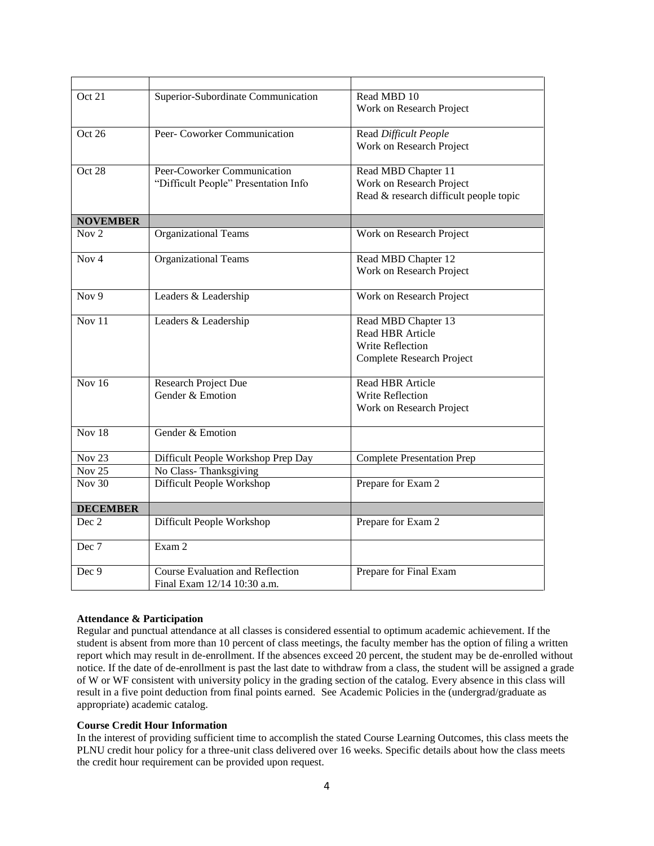| Oct 21            | Superior-Subordinate Communication      | Read MBD 10                            |
|-------------------|-----------------------------------------|----------------------------------------|
|                   |                                         | Work on Research Project               |
| Oct 26            | Peer- Coworker Communication            | Read Difficult People                  |
|                   |                                         | Work on Research Project               |
| Oct 28            | Peer-Coworker Communication             | Read MBD Chapter 11                    |
|                   | "Difficult People" Presentation Info    | Work on Research Project               |
|                   |                                         | Read & research difficult people topic |
| <b>NOVEMBER</b>   |                                         |                                        |
| Nov $2$           | Organizational Teams                    | Work on Research Project               |
| Nov <sub>4</sub>  | <b>Organizational Teams</b>             | Read MBD Chapter 12                    |
|                   |                                         | Work on Research Project               |
| $\overline{Nov9}$ | Leaders & Leadership                    | Work on Research Project               |
| Nov $11$          | Leaders & Leadership                    | Read MBD Chapter 13                    |
|                   |                                         | <b>Read HBR Article</b>                |
|                   |                                         | Write Reflection                       |
|                   |                                         | Complete Research Project              |
| Nov $16$          | <b>Research Project Due</b>             | <b>Read HBR Article</b>                |
|                   | Gender & Emotion                        | <b>Write Reflection</b>                |
|                   |                                         | Work on Research Project               |
| Nov $18$          | Gender & Emotion                        |                                        |
| <b>Nov 23</b>     | Difficult People Workshop Prep Day      | <b>Complete Presentation Prep</b>      |
| Nov <sub>25</sub> | No Class-Thanksgiving                   |                                        |
| <b>Nov 30</b>     | Difficult People Workshop               | Prepare for Exam 2                     |
| <b>DECEMBER</b>   |                                         |                                        |
| Dec 2             | Difficult People Workshop               | Prepare for Exam 2                     |
| Dec 7             | Exam 2                                  |                                        |
| Dec 9             | <b>Course Evaluation and Reflection</b> | Prepare for Final Exam                 |
|                   | Final Exam 12/14 10:30 a.m.             |                                        |

## **Attendance & Participation**

Regular and punctual attendance at all classes is considered essential to optimum academic achievement. If the student is absent from more than 10 percent of class meetings, the faculty member has the option of filing a written report which may result in de-enrollment. If the absences exceed 20 percent, the student may be de-enrolled without notice. If the date of de-enrollment is past the last date to withdraw from a class, the student will be assigned a grade of W or WF consistent with university policy in the grading section of the catalog. Every absence in this class will result in a five point deduction from final points earned. See Academic Policies in the (undergrad/graduate as appropriate) academic catalog.

#### **Course Credit Hour Information**

In the interest of providing sufficient time to accomplish the stated Course Learning Outcomes, this class meets the PLNU credit hour policy for a three-unit class delivered over 16 weeks. Specific details about how the class meets the credit hour requirement can be provided upon request.